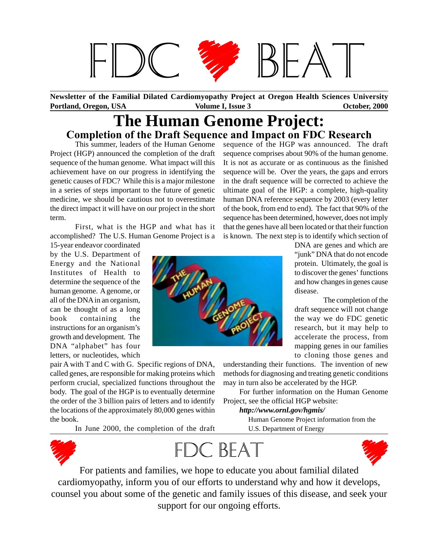

**Portland, Oregon, USA Volume I, Issue 3 October, 2000 October, 2000 Newsletter of the Familial Dilated Cardiomyopathy Project at Oregon Health Sciences University**

### **The Human Genome Project: Completion of the Draft Sequence and Impact on FDC Research**

This summer, leaders of the Human Genome Project (HGP) announced the completion of the draft sequence of the human genome. What impact will this achievement have on our progress in identifying the genetic causes of FDC? While this is a major milestone in a series of steps important to the future of genetic medicine, we should be cautious not to overestimate the direct impact it will have on our project in the short term.

First, what is the HGP and what has it accomplished? The U.S. Human Genome Project is a

15-year endeavor coordinated by the U.S. Department of Energy and the National Institutes of Health to determine the sequence of the human genome. A genome, or all of the DNA in an organism, can be thought of as a long book containing the instructions for an organism's growth and development. The DNA "alphabet" has four letters, or nucleotides, which

pair A with T and C with G. Specific regions of DNA, called genes, are responsible for making proteins which perform crucial, specialized functions throughout the body. The goal of the HGP is to eventually determine the order of the 3 billion pairs of letters and to identify the locations of the approximately 80,000 genes within the book.

In June 2000, the completion of the draft

sequence of the HGP was announced. The draft sequence comprises about 90% of the human genome. It is not as accurate or as continuous as the finished sequence will be. Over the years, the gaps and errors in the draft sequence will be corrected to achieve the ultimate goal of the HGP: a complete, high-quality human DNA reference sequence by 2003 (every letter of the book, from end to end). The fact that 90% of the sequence has been determined, however, does not imply that the genes have all been located or that their function is known. The next step is to identify which section of



DNA are genes and which are "junk" DNA that do not encode protein. Ultimately, the goal is to discover the genes' functions and how changes in genes cause disease.

The completion of the draft sequence will not change the way we do FDC genetic research, but it may help to accelerate the process, from mapping genes in our families to cloning those genes and

understanding their functions. The invention of new methods for diagnosing and treating genetic conditions may in turn also be accelerated by the HGP.

For further information on the Human Genome Project, see the official HGP website:

*http://www.ornl.gov/hgmis/*

Human Genome Project information from the U.S. Department of Energy





For patients and families, we hope to educate you about familial dilated cardiomyopathy, inform you of our efforts to understand why and how it develops, counsel you about some of the genetic and family issues of this disease, and seek your support for our ongoing efforts.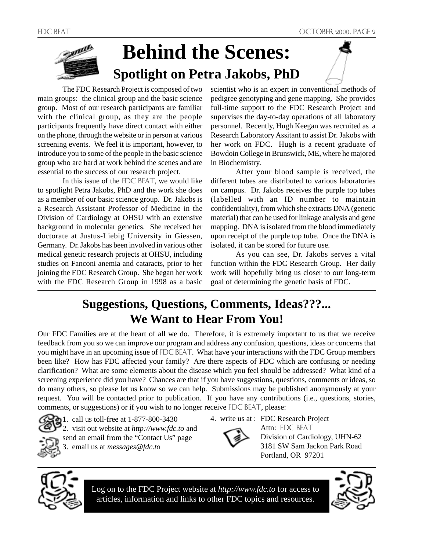## ann **Behind the Scenes: Spotlight on Petra Jakobs, PhD**

The FDC Research Project is composed of two main groups: the clinical group and the basic science group. Most of our research participants are familiar with the clinical group, as they are the people participants frequently have direct contact with either on the phone, through the website or in person at various screening events. We feel it is important, however, to introduce you to some of the people in the basic science group who are hard at work behind the scenes and are essential to the success of our research project.

In this issue of the FDC BEAT, we would like to spotlight Petra Jakobs, PhD and the work she does as a member of our basic science group. Dr. Jakobs is a Research Assistant Professor of Medicine in the Division of Cardiology at OHSU with an extensive background in molecular genetics. She received her doctorate at Justus-Liebig University in Giessen, Germany. Dr. Jakobs has been involved in various other medical genetic research projects at OHSU, including studies on Fanconi anemia and cataracts, prior to her joining the FDC Research Group. She began her work with the FDC Research Group in 1998 as a basic

scientist who is an expert in conventional methods of pedigree genotyping and gene mapping. She provides full-time support to the FDC Research Project and supervises the day-to-day operations of all laboratory personnel. Recently, Hugh Keegan was recruited as a Research Laboratory Assitant to assist Dr. Jakobs with her work on FDC. Hugh is a recent graduate of Bowdoin College in Brunswick, ME, where he majored in Biochemistry.

After your blood sample is received, the different tubes are distributed to various laboratories on campus. Dr. Jakobs receives the purple top tubes (labelled with an ID number to maintain confidentiality), from which she extracts DNA (genetic material) that can be used for linkage analysis and gene mapping. DNA is isolated from the blood immediately upon receipt of the purple top tube. Once the DNA is isolated, it can be stored for future use.

As you can see, Dr. Jakobs serves a vital function within the FDC Research Group. Her daily work will hopefully bring us closer to our long-term goal of determining the genetic basis of FDC.

## **Suggestions, Questions, Comments, Ideas???... We Want to Hear From You!**

Our FDC Families are at the heart of all we do. Therefore, it is extremely important to us that we receive feedback from you so we can improve our program and address any confusion, questions, ideas or concerns that you might have in an upcoming issue of FDC BEAT. What have your interactions with the FDC Group members been like? How has FDC affected your family? Are there aspects of FDC which are confusing or needing clarification? What are some elements about the disease which you feel should be addressed? What kind of a screening experience did you have? Chances are that if you have suggestions, questions, comments or ideas, so do many others, so please let us know so we can help. Submissions may be published anonymously at your request. You will be contacted prior to publication. If you have any contributions (i.e., questions, stories, comments, or suggestions) or if you wish to no longer receive FDC BEAT, please:



1. call us toll-free at 1-877-800-3430 2. visit out website at *http://www.fdc.to* and send an email from the "Contact Us" page 3. email us at *messages@fdc.to*

4. write us at : FDC Research Project



Attn: FDC BEAT Division of Cardiology, UHN-62 3181 SW Sam Jackon Park Road Portland, OR 97201



Log on to the FDC Project website at *http://www.fdc.to* for access to articles, information and links to other FDC topics and resources.

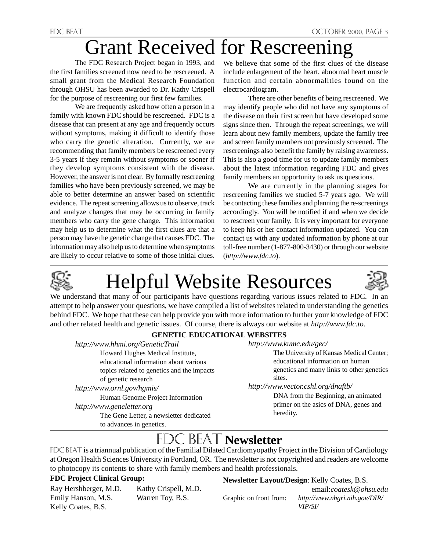## Grant Received for Rescreening

The FDC Research Project began in 1993, and the first families screened now need to be rescreened. A small grant from the Medical Research Foundation through OHSU has been awarded to Dr. Kathy Crispell for the purpose of rescreening our first few families.

We are frequently asked how often a person in a family with known FDC should be rescreened. FDC is a disease that can present at any age and frequently occurs without symptoms, making it difficult to identify those who carry the genetic alteration. Currently, we are recommending that family members be rescreened every 3-5 years if they remain without symptoms or sooner if they develop symptoms consistent with the disease. However, the answer is not clear. By formally rescreening families who have been previously screened, we may be able to better determine an answer based on scientific evidence. The repeat screening allows us to observe, track and analyze changes that may be occurring in family members who carry the gene change. This information may help us to determine what the first clues are that a person may have the genetic change that causes FDC. The information may also help us to determine when symptoms are likely to occur relative to some of those initial clues.

We believe that some of the first clues of the disease include enlargement of the heart, abnormal heart muscle function and certain abnormalities found on the electrocardiogram.

There are other benefits of being rescreened. We may identify people who did not have any symptoms of the disease on their first screen but have developed some signs since then. Through the repeat screenings, we will learn about new family members, update the family tree and screen family members not previously screened. The rescreenings also benefit the family by raising awareness. This is also a good time for us to update family members about the latest information regarding FDC and gives family members an opportunity to ask us questions.

We are currently in the planning stages for rescreening families we studied 5-7 years ago. We will be contacting these families and planning the re-screenings accordingly. You will be notified if and when we decide to rescreen your family. It is very important for everyone to keep his or her contact information updated. You can contact us with any updated information by phone at our toll-free number (1-877-800-3430) or through our website (*http://www.fdc.to*).



# Helpful Website Resources



We understand that many of our participants have questions regarding various issues related to FDC. In an attempt to help answer your questions, we have compiled a list of websites related to understanding the genetics behind FDC. We hope that these can help provide you with more information to further your knowledge of FDC and other related health and genetic issues. Of course, there is always our website at *http://www.fdc.to*.

### **GENETIC EDUCATIONAL WEBSITES**

*http://www.hhmi.org/GeneticTrail* Howard Hughes Medical Institute,

educational information about various topics related to genetics and the impacts of genetic research

*http://www.ornl.gov/hgmis/* Human Genome Project Information *http://www.geneletter.org* The Gene Letter, a newsletter dedicated to advances in genetics.

*http://www.kumc.edu/gec/*

The University of Kansas Medical Center; educational information on human genetics and many links to other genetics sites.

*http://www.vector.cshl.org/dnaftb/*

DNA from the Beginning, an animated primer on the asics of DNA, genes and heredity.

## **EXAL Newsletter**

FDC BEAT is a triannual publication of the Familial Dilated Cardiomyopathy Project in the Division of Cardiology at Oregon Health Sciences University in Portland, OR. The newsletter is not copyrighted and readers are welcome to photocopy its contents to share with family members and health professionals.

### **FDC Project Clinical Group:**

Ray Hershberger, M.D. Kathy Crispell, M.D. Emily Hanson, M.S. Warren Toy, B.S. Kelly Coates, B.S.

**Newsletter Layout/Design**: Kelly Coates, B.S.

 email:*coatesk@ohsu.edu* Graphic on front from: *http://www.nhgri.nih.gov/DIR/ VIP/SI/*